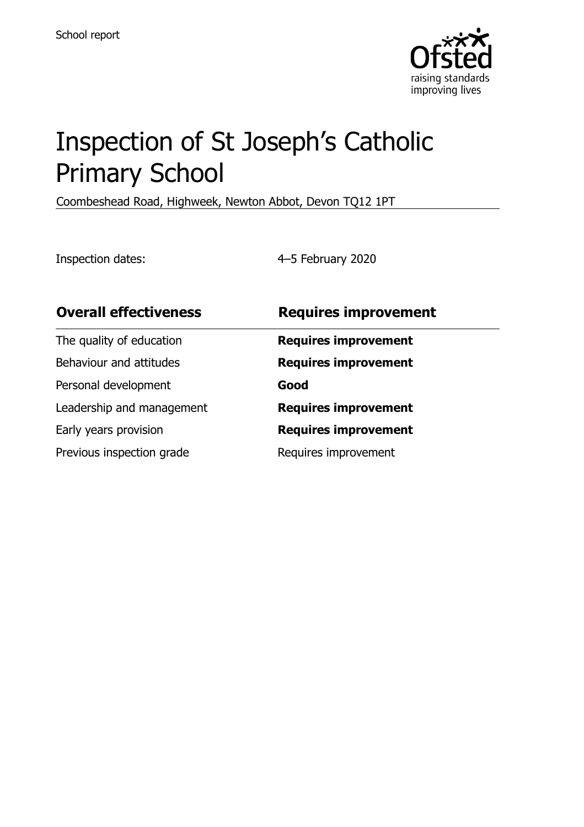

# Inspection of St Joseph's Catholic Primary School

Coombeshead Road, Highweek, Newton Abbot, Devon TQ12 1PT

Inspection dates: 4–5 February 2020

| <b>Overall effectiveness</b> | <b>Requires improvement</b> |
|------------------------------|-----------------------------|
| The quality of education     | <b>Requires improvement</b> |
| Behaviour and attitudes      | <b>Requires improvement</b> |
| Personal development         | Good                        |
| Leadership and management    | <b>Requires improvement</b> |
| Early years provision        | <b>Requires improvement</b> |
| Previous inspection grade    | Requires improvement        |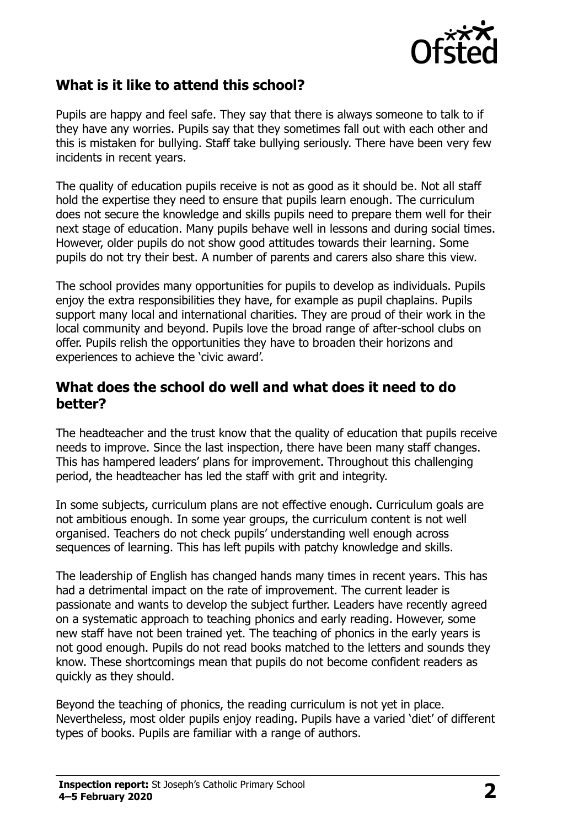

# **What is it like to attend this school?**

Pupils are happy and feel safe. They say that there is always someone to talk to if they have any worries. Pupils say that they sometimes fall out with each other and this is mistaken for bullying. Staff take bullying seriously. There have been very few incidents in recent years.

The quality of education pupils receive is not as good as it should be. Not all staff hold the expertise they need to ensure that pupils learn enough. The curriculum does not secure the knowledge and skills pupils need to prepare them well for their next stage of education. Many pupils behave well in lessons and during social times. However, older pupils do not show good attitudes towards their learning. Some pupils do not try their best. A number of parents and carers also share this view.

The school provides many opportunities for pupils to develop as individuals. Pupils enjoy the extra responsibilities they have, for example as pupil chaplains. Pupils support many local and international charities. They are proud of their work in the local community and beyond. Pupils love the broad range of after-school clubs on offer. Pupils relish the opportunities they have to broaden their horizons and experiences to achieve the 'civic award'.

#### **What does the school do well and what does it need to do better?**

The headteacher and the trust know that the quality of education that pupils receive needs to improve. Since the last inspection, there have been many staff changes. This has hampered leaders' plans for improvement. Throughout this challenging period, the headteacher has led the staff with grit and integrity.

In some subjects, curriculum plans are not effective enough. Curriculum goals are not ambitious enough. In some year groups, the curriculum content is not well organised. Teachers do not check pupils' understanding well enough across sequences of learning. This has left pupils with patchy knowledge and skills.

The leadership of English has changed hands many times in recent years. This has had a detrimental impact on the rate of improvement. The current leader is passionate and wants to develop the subject further. Leaders have recently agreed on a systematic approach to teaching phonics and early reading. However, some new staff have not been trained yet. The teaching of phonics in the early years is not good enough. Pupils do not read books matched to the letters and sounds they know. These shortcomings mean that pupils do not become confident readers as quickly as they should.

Beyond the teaching of phonics, the reading curriculum is not yet in place. Nevertheless, most older pupils enjoy reading. Pupils have a varied 'diet' of different types of books. Pupils are familiar with a range of authors.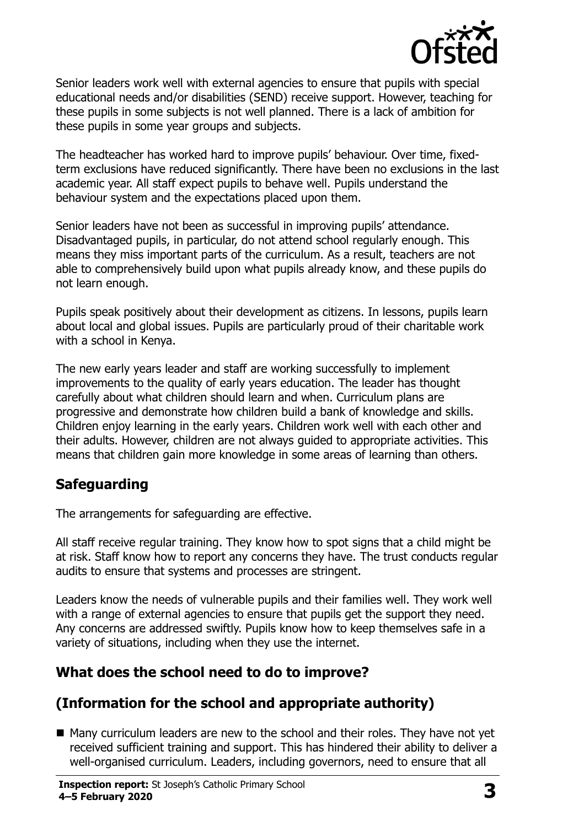

Senior leaders work well with external agencies to ensure that pupils with special educational needs and/or disabilities (SEND) receive support. However, teaching for these pupils in some subjects is not well planned. There is a lack of ambition for these pupils in some year groups and subjects.

The headteacher has worked hard to improve pupils' behaviour. Over time, fixedterm exclusions have reduced significantly. There have been no exclusions in the last academic year. All staff expect pupils to behave well. Pupils understand the behaviour system and the expectations placed upon them.

Senior leaders have not been as successful in improving pupils' attendance. Disadvantaged pupils, in particular, do not attend school regularly enough. This means they miss important parts of the curriculum. As a result, teachers are not able to comprehensively build upon what pupils already know, and these pupils do not learn enough.

Pupils speak positively about their development as citizens. In lessons, pupils learn about local and global issues. Pupils are particularly proud of their charitable work with a school in Kenya.

The new early years leader and staff are working successfully to implement improvements to the quality of early years education. The leader has thought carefully about what children should learn and when. Curriculum plans are progressive and demonstrate how children build a bank of knowledge and skills. Children enjoy learning in the early years. Children work well with each other and their adults. However, children are not always guided to appropriate activities. This means that children gain more knowledge in some areas of learning than others.

# **Safeguarding**

The arrangements for safeguarding are effective.

All staff receive regular training. They know how to spot signs that a child might be at risk. Staff know how to report any concerns they have. The trust conducts regular audits to ensure that systems and processes are stringent.

Leaders know the needs of vulnerable pupils and their families well. They work well with a range of external agencies to ensure that pupils get the support they need. Any concerns are addressed swiftly. Pupils know how to keep themselves safe in a variety of situations, including when they use the internet.

# **What does the school need to do to improve?**

# **(Information for the school and appropriate authority)**

■ Many curriculum leaders are new to the school and their roles. They have not yet received sufficient training and support. This has hindered their ability to deliver a well-organised curriculum. Leaders, including governors, need to ensure that all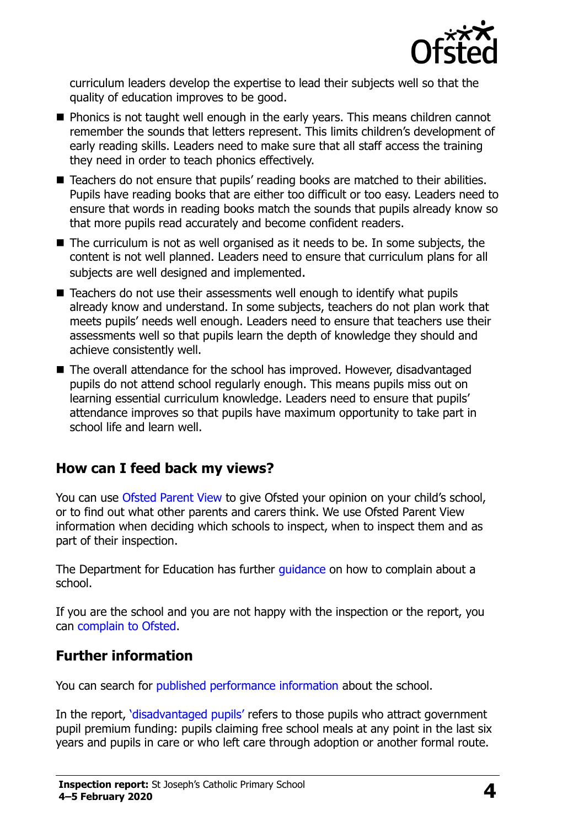

curriculum leaders develop the expertise to lead their subjects well so that the quality of education improves to be good.

- **Phonics is not taught well enough in the early years. This means children cannot** remember the sounds that letters represent. This limits children's development of early reading skills. Leaders need to make sure that all staff access the training they need in order to teach phonics effectively.
- Teachers do not ensure that pupils' reading books are matched to their abilities. Pupils have reading books that are either too difficult or too easy. Leaders need to ensure that words in reading books match the sounds that pupils already know so that more pupils read accurately and become confident readers.
- $\blacksquare$  The curriculum is not as well organised as it needs to be. In some subjects, the content is not well planned. Leaders need to ensure that curriculum plans for all subjects are well designed and implemented.
- Teachers do not use their assessments well enough to identify what pupils already know and understand. In some subjects, teachers do not plan work that meets pupils' needs well enough. Leaders need to ensure that teachers use their assessments well so that pupils learn the depth of knowledge they should and achieve consistently well.
- The overall attendance for the school has improved. However, disadvantaged pupils do not attend school regularly enough. This means pupils miss out on learning essential curriculum knowledge. Leaders need to ensure that pupils' attendance improves so that pupils have maximum opportunity to take part in school life and learn well.

### **How can I feed back my views?**

You can use [Ofsted Parent View](http://parentview.ofsted.gov.uk/) to give Ofsted your opinion on your child's school, or to find out what other parents and carers think. We use Ofsted Parent View information when deciding which schools to inspect, when to inspect them and as part of their inspection.

The Department for Education has further quidance on how to complain about a school.

If you are the school and you are not happy with the inspection or the report, you can [complain to Ofsted.](http://www.gov.uk/complain-ofsted-report)

#### **Further information**

You can search for [published performance information](http://www.compare-school-performance.service.gov.uk/) about the school.

In the report, '[disadvantaged pupils](http://www.gov.uk/guidance/pupil-premium-information-for-schools-and-alternative-provision-settings)' refers to those pupils who attract government pupil premium funding: pupils claiming free school meals at any point in the last six years and pupils in care or who left care through adoption or another formal route.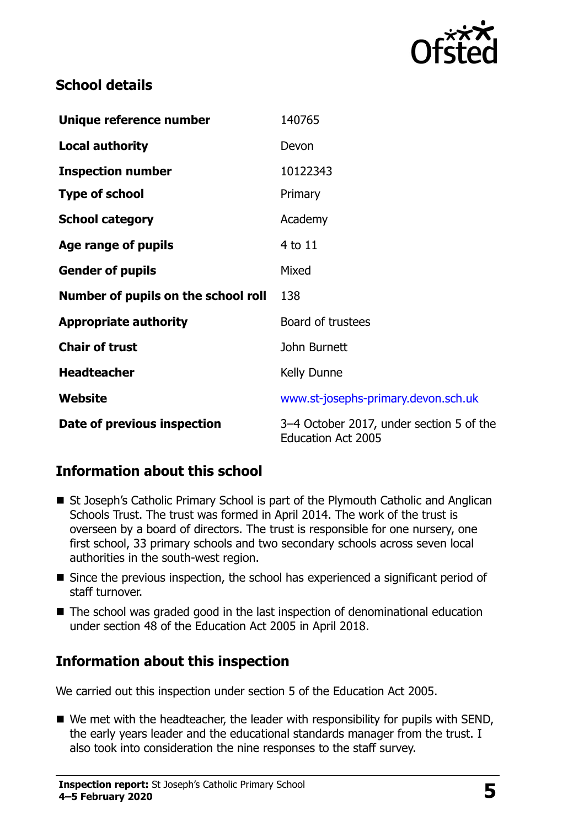

## **School details**

| Unique reference number             | 140765                                                                |
|-------------------------------------|-----------------------------------------------------------------------|
| <b>Local authority</b>              | Devon                                                                 |
| <b>Inspection number</b>            | 10122343                                                              |
| <b>Type of school</b>               | Primary                                                               |
| <b>School category</b>              | Academy                                                               |
| Age range of pupils                 | 4 to 11                                                               |
| <b>Gender of pupils</b>             | Mixed                                                                 |
| Number of pupils on the school roll | 138                                                                   |
| <b>Appropriate authority</b>        | Board of trustees                                                     |
| <b>Chair of trust</b>               | John Burnett                                                          |
| <b>Headteacher</b>                  | Kelly Dunne                                                           |
| Website                             | www.st-josephs-primary.devon.sch.uk                                   |
| Date of previous inspection         | 3–4 October 2017, under section 5 of the<br><b>Education Act 2005</b> |

# **Information about this school**

- St Joseph's Catholic Primary School is part of the Plymouth Catholic and Anglican Schools Trust. The trust was formed in April 2014. The work of the trust is overseen by a board of directors. The trust is responsible for one nursery, one first school, 33 primary schools and two secondary schools across seven local authorities in the south-west region.
- Since the previous inspection, the school has experienced a significant period of staff turnover.
- The school was graded good in the last inspection of denominational education under section 48 of the Education Act 2005 in April 2018.

### **Information about this inspection**

We carried out this inspection under section 5 of the Education Act 2005.

 $\blacksquare$  We met with the headteacher, the leader with responsibility for pupils with SEND, the early years leader and the educational standards manager from the trust. I also took into consideration the nine responses to the staff survey.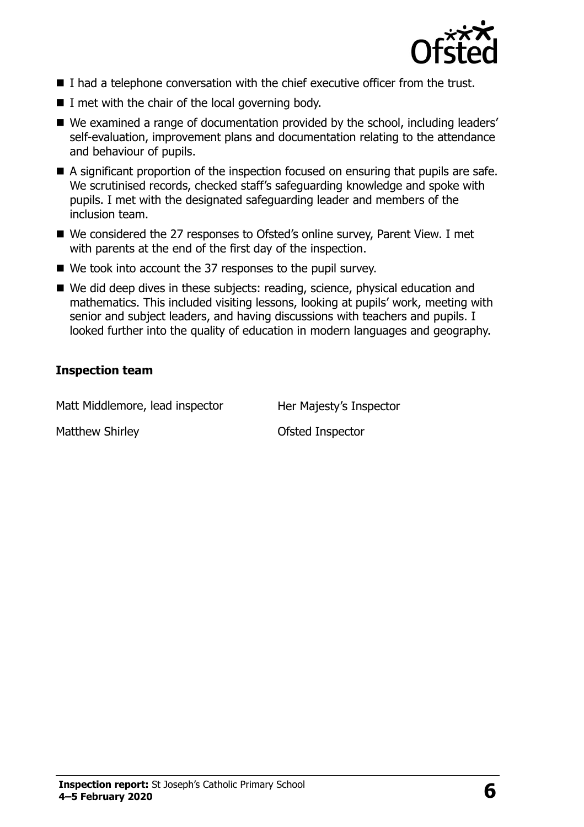

- $\blacksquare$  I had a telephone conversation with the chief executive officer from the trust.
- $\blacksquare$  I met with the chair of the local governing body.
- We examined a range of documentation provided by the school, including leaders' self-evaluation, improvement plans and documentation relating to the attendance and behaviour of pupils.
- A significant proportion of the inspection focused on ensuring that pupils are safe. We scrutinised records, checked staff's safeguarding knowledge and spoke with pupils. I met with the designated safeguarding leader and members of the inclusion team.
- We considered the 27 responses to Ofsted's online survey, Parent View. I met with parents at the end of the first day of the inspection.
- We took into account the 37 responses to the pupil survey.
- We did deep dives in these subjects: reading, science, physical education and mathematics. This included visiting lessons, looking at pupils' work, meeting with senior and subject leaders, and having discussions with teachers and pupils. I looked further into the quality of education in modern languages and geography.

#### **Inspection team**

Matt Middlemore, lead inspector Her Majesty's Inspector

Matthew Shirley **Canadian Control Control Control Control Control Control Control Control Control Control Control Control Control Control Control Control Control Control Control Control Control Control Control Control Cont**